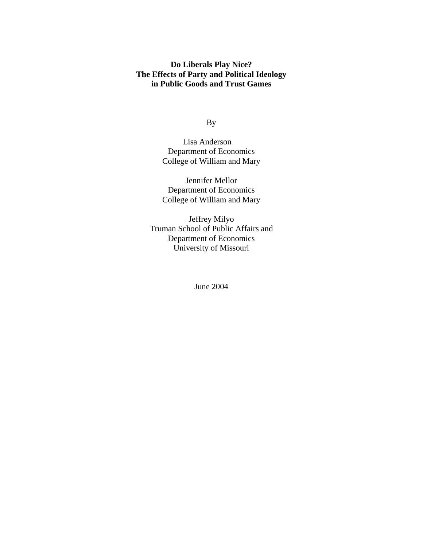## **Do Liberals Play Nice? The Effects of Party and Political Ideology in Public Goods and Trust Games**

By

Lisa Anderson Department of Economics College of William and Mary

Jennifer Mellor Department of Economics College of William and Mary

Jeffrey Milyo Truman School of Public Affairs and Department of Economics University of Missouri

June 2004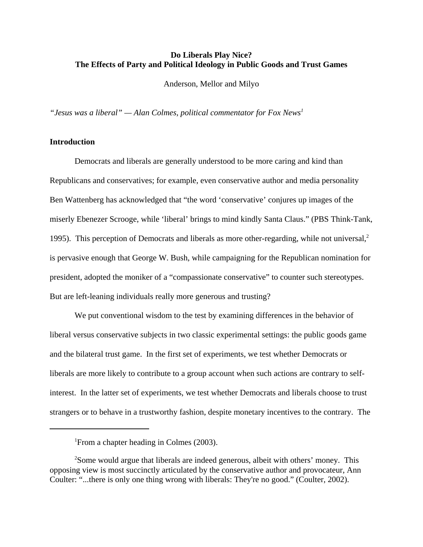## **Do Liberals Play Nice? The Effects of Party and Political Ideology in Public Goods and Trust Games**

Anderson, Mellor and Milyo

*"Jesus was a liberal" — Alan Colmes, political commentator for Fox News1*

## **Introduction**

Democrats and liberals are generally understood to be more caring and kind than Republicans and conservatives; for example, even conservative author and media personality Ben Wattenberg has acknowledged that "the word 'conservative' conjures up images of the miserly Ebenezer Scrooge, while 'liberal' brings to mind kindly Santa Claus." (PBS Think-Tank, 1995). This perception of Democrats and liberals as more other-regarding, while not universal, $2$ is pervasive enough that George W. Bush, while campaigning for the Republican nomination for president, adopted the moniker of a "compassionate conservative" to counter such stereotypes. But are left-leaning individuals really more generous and trusting?

We put conventional wisdom to the test by examining differences in the behavior of liberal versus conservative subjects in two classic experimental settings: the public goods game and the bilateral trust game. In the first set of experiments, we test whether Democrats or liberals are more likely to contribute to a group account when such actions are contrary to selfinterest. In the latter set of experiments, we test whether Democrats and liberals choose to trust strangers or to behave in a trustworthy fashion, despite monetary incentives to the contrary. The

<sup>&</sup>lt;sup>1</sup> From a chapter heading in Colmes (2003).

<sup>&</sup>lt;sup>2</sup>Some would argue that liberals are indeed generous, albeit with others' money. This opposing view is most succinctly articulated by the conservative author and provocateur, Ann Coulter: "...there is only one thing wrong with liberals: They're no good." (Coulter, 2002).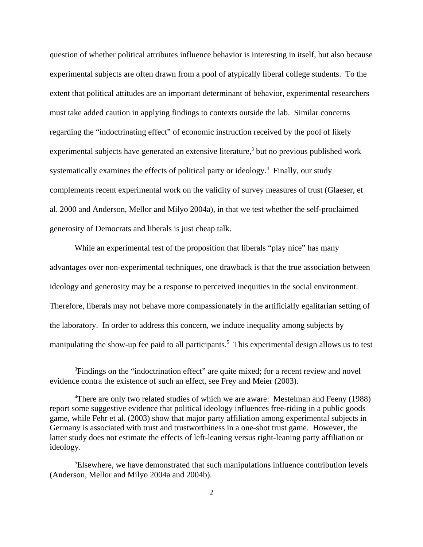question of whether political attributes influence behavior is interesting in itself, but also because experimental subjects are often drawn from a pool of atypically liberal college students. To the extent that political attitudes are an important determinant of behavior, experimental researchers must take added caution in applying findings to contexts outside the lab. Similar concerns regarding the "indoctrinating effect" of economic instruction received by the pool of likely experimental subjects have generated an extensive literature, $3$  but no previous published work systematically examines the effects of political party or ideology.<sup>4</sup> Finally, our study complements recent experimental work on the validity of survey measures of trust (Glaeser, et al. 2000 and Anderson, Mellor and Milyo 2004a), in that we test whether the self-proclaimed generosity of Democrats and liberals is just cheap talk.

While an experimental test of the proposition that liberals "play nice" has many advantages over non-experimental techniques, one drawback is that the true association between ideology and generosity may be a response to perceived inequities in the social environment. Therefore, liberals may not behave more compassionately in the artificially egalitarian setting of the laboratory. In order to address this concern, we induce inequality among subjects by manipulating the show-up fee paid to all participants.<sup>5</sup> This experimental design allows us to test

<sup>&</sup>lt;sup>3</sup>Findings on the "indoctrination effect" are quite mixed; for a recent review and novel evidence contra the existence of such an effect, see Frey and Meier (2003).

<sup>&</sup>lt;sup>4</sup>There are only two related studies of which we are aware: Mestelman and Feeny (1988) report some suggestive evidence that political ideology influences free-riding in a public goods game, while Fehr et al. (2003) show that major party affiliation among experimental subjects in Germany is associated with trust and trustworthiness in a one-shot trust game. However, the latter study does not estimate the effects of left-leaning versus right-leaning party affiliation or ideology.

<sup>&</sup>lt;sup>5</sup>Elsewhere, we have demonstrated that such manipulations influence contribution levels (Anderson, Mellor and Milyo 2004a and 2004b).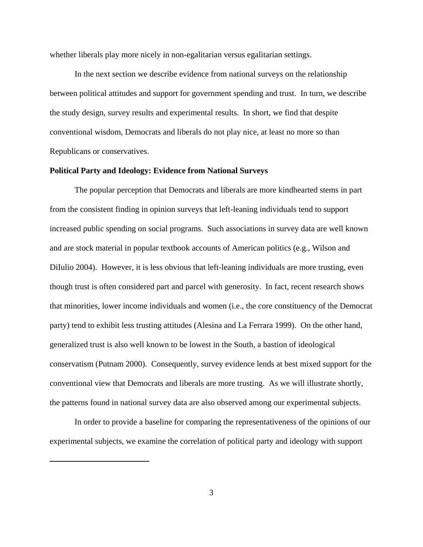whether liberals play more nicely in non-egalitarian versus egalitarian settings.

In the next section we describe evidence from national surveys on the relationship between political attitudes and support for government spending and trust. In turn, we describe the study design, survey results and experimental results. In short, we find that despite conventional wisdom, Democrats and liberals do not play nice, at least no more so than Republicans or conservatives.

#### **Political Party and Ideology: Evidence from National Surveys**

The popular perception that Democrats and liberals are more kindhearted stems in part from the consistent finding in opinion surveys that left-leaning individuals tend to support increased public spending on social programs. Such associations in survey data are well known and are stock material in popular textbook accounts of American politics (e.g., Wilson and DiIulio 2004). However, it is less obvious that left-leaning individuals are more trusting, even though trust is often considered part and parcel with generosity. In fact, recent research shows that minorities, lower income individuals and women (i.e., the core constituency of the Democrat party) tend to exhibit less trusting attitudes (Alesina and La Ferrara 1999). On the other hand, generalized trust is also well known to be lowest in the South, a bastion of ideological conservatism (Putnam 2000). Consequently, survey evidence lends at best mixed support for the conventional view that Democrats and liberals are more trusting. As we will illustrate shortly, the patterns found in national survey data are also observed among our experimental subjects.

In order to provide a baseline for comparing the representativeness of the opinions of our experimental subjects, we examine the correlation of political party and ideology with support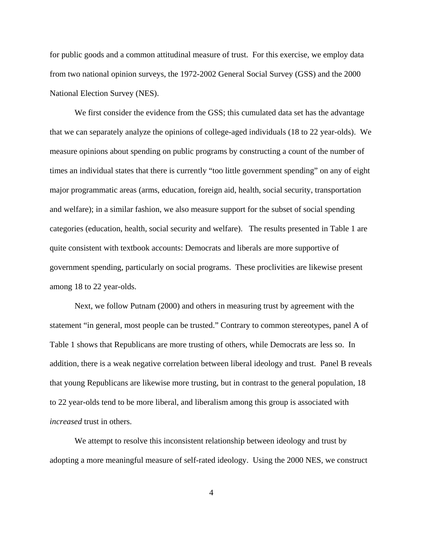for public goods and a common attitudinal measure of trust. For this exercise, we employ data from two national opinion surveys, the 1972-2002 General Social Survey (GSS) and the 2000 National Election Survey (NES).

We first consider the evidence from the GSS; this cumulated data set has the advantage that we can separately analyze the opinions of college-aged individuals (18 to 22 year-olds). We measure opinions about spending on public programs by constructing a count of the number of times an individual states that there is currently "too little government spending" on any of eight major programmatic areas (arms, education, foreign aid, health, social security, transportation and welfare); in a similar fashion, we also measure support for the subset of social spending categories (education, health, social security and welfare). The results presented in Table 1 are quite consistent with textbook accounts: Democrats and liberals are more supportive of government spending, particularly on social programs. These proclivities are likewise present among 18 to 22 year-olds.

Next, we follow Putnam (2000) and others in measuring trust by agreement with the statement "in general, most people can be trusted." Contrary to common stereotypes, panel A of Table 1 shows that Republicans are more trusting of others, while Democrats are less so. In addition, there is a weak negative correlation between liberal ideology and trust. Panel B reveals that young Republicans are likewise more trusting, but in contrast to the general population, 18 to 22 year-olds tend to be more liberal, and liberalism among this group is associated with *increased* trust in others.

We attempt to resolve this inconsistent relationship between ideology and trust by adopting a more meaningful measure of self-rated ideology. Using the 2000 NES, we construct

4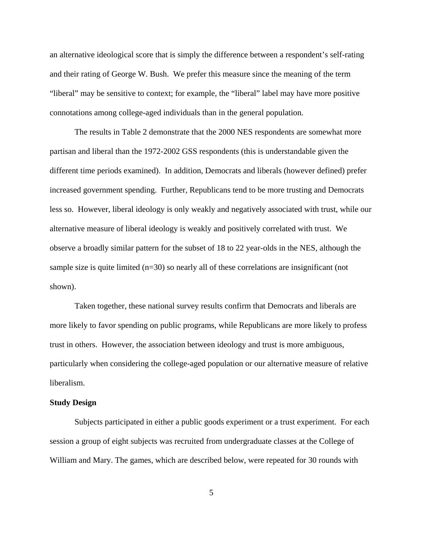an alternative ideological score that is simply the difference between a respondent's self-rating and their rating of George W. Bush. We prefer this measure since the meaning of the term "liberal" may be sensitive to context; for example, the "liberal" label may have more positive connotations among college-aged individuals than in the general population.

The results in Table 2 demonstrate that the 2000 NES respondents are somewhat more partisan and liberal than the 1972-2002 GSS respondents (this is understandable given the different time periods examined). In addition, Democrats and liberals (however defined) prefer increased government spending. Further, Republicans tend to be more trusting and Democrats less so. However, liberal ideology is only weakly and negatively associated with trust, while our alternative measure of liberal ideology is weakly and positively correlated with trust. We observe a broadly similar pattern for the subset of 18 to 22 year-olds in the NES, although the sample size is quite limited (n=30) so nearly all of these correlations are insignificant (not shown).

Taken together, these national survey results confirm that Democrats and liberals are more likely to favor spending on public programs, while Republicans are more likely to profess trust in others. However, the association between ideology and trust is more ambiguous, particularly when considering the college-aged population or our alternative measure of relative liberalism.

#### **Study Design**

Subjects participated in either a public goods experiment or a trust experiment. For each session a group of eight subjects was recruited from undergraduate classes at the College of William and Mary. The games, which are described below, were repeated for 30 rounds with

5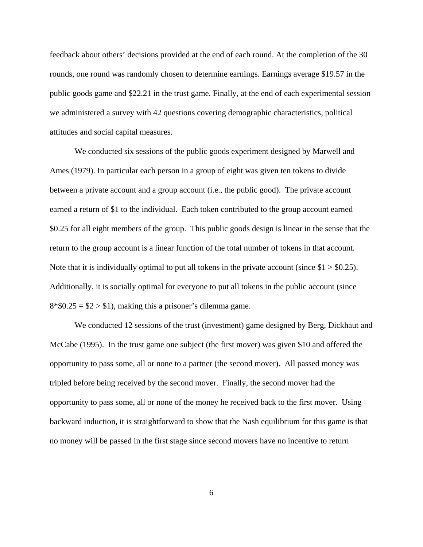feedback about others' decisions provided at the end of each round. At the completion of the 30 rounds, one round was randomly chosen to determine earnings. Earnings average \$19.57 in the public goods game and \$22.21 in the trust game. Finally, at the end of each experimental session we administered a survey with 42 questions covering demographic characteristics, political attitudes and social capital measures.

We conducted six sessions of the public goods experiment designed by Marwell and Ames (1979). In particular each person in a group of eight was given ten tokens to divide between a private account and a group account (i.e., the public good). The private account earned a return of \$1 to the individual. Each token contributed to the group account earned \$0.25 for all eight members of the group. This public goods design is linear in the sense that the return to the group account is a linear function of the total number of tokens in that account. Note that it is individually optimal to put all tokens in the private account (since  $$1 > $0.25$ ). Additionally, it is socially optimal for everyone to put all tokens in the public account (since  $8*\$0.25 = \$2 > \$1$ , making this a prisoner's dilemma game.

We conducted 12 sessions of the trust (investment) game designed by Berg, Dickhaut and McCabe (1995). In the trust game one subject (the first mover) was given \$10 and offered the opportunity to pass some, all or none to a partner (the second mover). All passed money was tripled before being received by the second mover. Finally, the second mover had the opportunity to pass some, all or none of the money he received back to the first mover. Using backward induction, it is straightforward to show that the Nash equilibrium for this game is that no money will be passed in the first stage since second movers have no incentive to return

6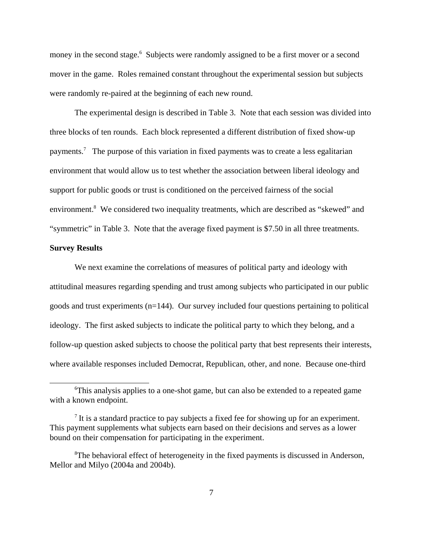money in the second stage.<sup>6</sup> Subjects were randomly assigned to be a first mover or a second mover in the game. Roles remained constant throughout the experimental session but subjects were randomly re-paired at the beginning of each new round.

The experimental design is described in Table 3. Note that each session was divided into three blocks of ten rounds. Each block represented a different distribution of fixed show-up payments.<sup>7</sup> The purpose of this variation in fixed payments was to create a less egalitarian environment that would allow us to test whether the association between liberal ideology and support for public goods or trust is conditioned on the perceived fairness of the social environment.<sup>8</sup> We considered two inequality treatments, which are described as "skewed" and "symmetric" in Table 3. Note that the average fixed payment is \$7.50 in all three treatments.

#### **Survey Results**

We next examine the correlations of measures of political party and ideology with attitudinal measures regarding spending and trust among subjects who participated in our public goods and trust experiments (n=144). Our survey included four questions pertaining to political ideology. The first asked subjects to indicate the political party to which they belong, and a follow-up question asked subjects to choose the political party that best represents their interests, where available responses included Democrat, Republican, other, and none. Because one-third

<sup>6</sup> This analysis applies to a one-shot game, but can also be extended to a repeated game with a known endpoint.

 $<sup>7</sup>$  It is a standard practice to pay subjects a fixed fee for showing up for an experiment.</sup> This payment supplements what subjects earn based on their decisions and serves as a lower bound on their compensation for participating in the experiment.

<sup>&</sup>lt;sup>8</sup>The behavioral effect of heterogeneity in the fixed payments is discussed in Anderson, Mellor and Milyo (2004a and 2004b).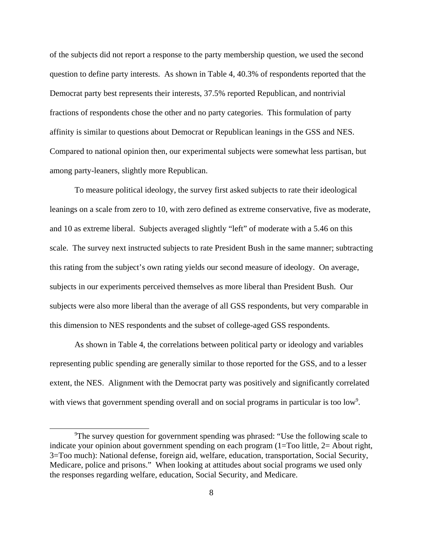of the subjects did not report a response to the party membership question, we used the second question to define party interests. As shown in Table 4, 40.3% of respondents reported that the Democrat party best represents their interests, 37.5% reported Republican, and nontrivial fractions of respondents chose the other and no party categories. This formulation of party affinity is similar to questions about Democrat or Republican leanings in the GSS and NES. Compared to national opinion then, our experimental subjects were somewhat less partisan, but among party-leaners, slightly more Republican.

To measure political ideology, the survey first asked subjects to rate their ideological leanings on a scale from zero to 10, with zero defined as extreme conservative, five as moderate, and 10 as extreme liberal. Subjects averaged slightly "left" of moderate with a 5.46 on this scale. The survey next instructed subjects to rate President Bush in the same manner; subtracting this rating from the subject's own rating yields our second measure of ideology. On average, subjects in our experiments perceived themselves as more liberal than President Bush. Our subjects were also more liberal than the average of all GSS respondents, but very comparable in this dimension to NES respondents and the subset of college-aged GSS respondents.

As shown in Table 4, the correlations between political party or ideology and variables representing public spending are generally similar to those reported for the GSS, and to a lesser extent, the NES. Alignment with the Democrat party was positively and significantly correlated with views that government spending overall and on social programs in particular is too low<sup>9</sup>.

<sup>&</sup>lt;sup>9</sup>The survey question for government spending was phrased: "Use the following scale to indicate your opinion about government spending on each program (1=Too little, 2= About right, 3=Too much): National defense, foreign aid, welfare, education, transportation, Social Security, Medicare, police and prisons." When looking at attitudes about social programs we used only the responses regarding welfare, education, Social Security, and Medicare.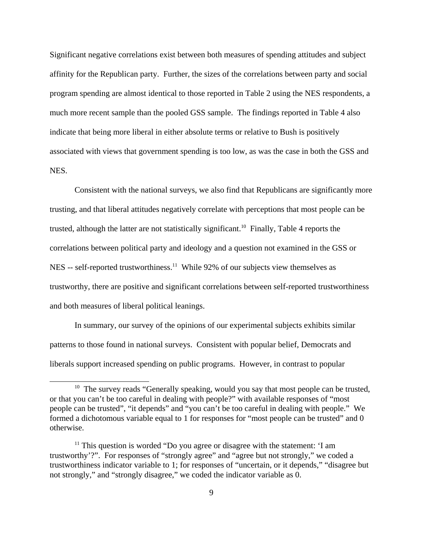Significant negative correlations exist between both measures of spending attitudes and subject affinity for the Republican party. Further, the sizes of the correlations between party and social program spending are almost identical to those reported in Table 2 using the NES respondents, a much more recent sample than the pooled GSS sample. The findings reported in Table 4 also indicate that being more liberal in either absolute terms or relative to Bush is positively associated with views that government spending is too low, as was the case in both the GSS and NES.

Consistent with the national surveys, we also find that Republicans are significantly more trusting, and that liberal attitudes negatively correlate with perceptions that most people can be trusted, although the latter are not statistically significant.<sup>10</sup> Finally, Table 4 reports the correlations between political party and ideology and a question not examined in the GSS or NES -- self-reported trustworthiness.<sup>11</sup> While 92% of our subjects view themselves as trustworthy, there are positive and significant correlations between self-reported trustworthiness and both measures of liberal political leanings.

In summary, our survey of the opinions of our experimental subjects exhibits similar patterns to those found in national surveys. Consistent with popular belief, Democrats and liberals support increased spending on public programs. However, in contrast to popular

<sup>&</sup>lt;sup>10</sup> The survey reads "Generally speaking, would you say that most people can be trusted, or that you can't be too careful in dealing with people?" with available responses of "most people can be trusted", "it depends" and "you can't be too careful in dealing with people." We formed a dichotomous variable equal to 1 for responses for "most people can be trusted" and 0 otherwise.

 $11$  This question is worded "Do you agree or disagree with the statement: 'I am trustworthy'?". For responses of "strongly agree" and "agree but not strongly," we coded a trustworthiness indicator variable to 1; for responses of "uncertain, or it depends," "disagree but not strongly," and "strongly disagree," we coded the indicator variable as 0.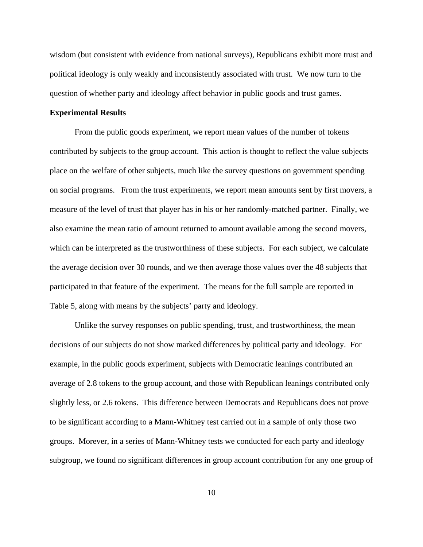wisdom (but consistent with evidence from national surveys), Republicans exhibit more trust and political ideology is only weakly and inconsistently associated with trust. We now turn to the question of whether party and ideology affect behavior in public goods and trust games.

#### **Experimental Results**

From the public goods experiment, we report mean values of the number of tokens contributed by subjects to the group account. This action is thought to reflect the value subjects place on the welfare of other subjects, much like the survey questions on government spending on social programs. From the trust experiments, we report mean amounts sent by first movers, a measure of the level of trust that player has in his or her randomly-matched partner. Finally, we also examine the mean ratio of amount returned to amount available among the second movers, which can be interpreted as the trustworthiness of these subjects. For each subject, we calculate the average decision over 30 rounds, and we then average those values over the 48 subjects that participated in that feature of the experiment. The means for the full sample are reported in Table 5, along with means by the subjects' party and ideology.

Unlike the survey responses on public spending, trust, and trustworthiness, the mean decisions of our subjects do not show marked differences by political party and ideology. For example, in the public goods experiment, subjects with Democratic leanings contributed an average of 2.8 tokens to the group account, and those with Republican leanings contributed only slightly less, or 2.6 tokens. This difference between Democrats and Republicans does not prove to be significant according to a Mann-Whitney test carried out in a sample of only those two groups. Morever, in a series of Mann-Whitney tests we conducted for each party and ideology subgroup, we found no significant differences in group account contribution for any one group of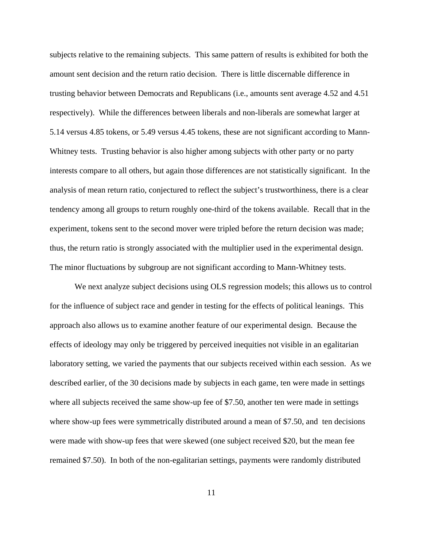subjects relative to the remaining subjects. This same pattern of results is exhibited for both the amount sent decision and the return ratio decision. There is little discernable difference in trusting behavior between Democrats and Republicans (i.e., amounts sent average 4.52 and 4.51 respectively). While the differences between liberals and non-liberals are somewhat larger at 5.14 versus 4.85 tokens, or 5.49 versus 4.45 tokens, these are not significant according to Mann-Whitney tests. Trusting behavior is also higher among subjects with other party or no party interests compare to all others, but again those differences are not statistically significant. In the analysis of mean return ratio, conjectured to reflect the subject's trustworthiness, there is a clear tendency among all groups to return roughly one-third of the tokens available. Recall that in the experiment, tokens sent to the second mover were tripled before the return decision was made; thus, the return ratio is strongly associated with the multiplier used in the experimental design. The minor fluctuations by subgroup are not significant according to Mann-Whitney tests.

We next analyze subject decisions using OLS regression models; this allows us to control for the influence of subject race and gender in testing for the effects of political leanings. This approach also allows us to examine another feature of our experimental design. Because the effects of ideology may only be triggered by perceived inequities not visible in an egalitarian laboratory setting, we varied the payments that our subjects received within each session. As we described earlier, of the 30 decisions made by subjects in each game, ten were made in settings where all subjects received the same show-up fee of \$7.50, another ten were made in settings where show-up fees were symmetrically distributed around a mean of \$7.50, and ten decisions were made with show-up fees that were skewed (one subject received \$20, but the mean fee remained \$7.50). In both of the non-egalitarian settings, payments were randomly distributed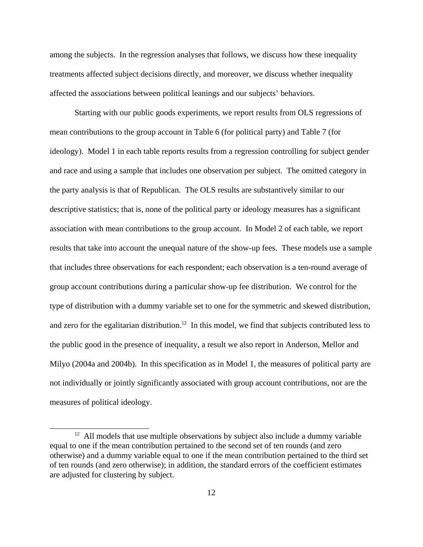among the subjects. In the regression analyses that follows, we discuss how these inequality treatments affected subject decisions directly, and moreover, we discuss whether inequality affected the associations between political leanings and our subjects' behaviors.

Starting with our public goods experiments, we report results from OLS regressions of mean contributions to the group account in Table 6 (for political party) and Table 7 (for ideology). Model 1 in each table reports results from a regression controlling for subject gender and race and using a sample that includes one observation per subject. The omitted category in the party analysis is that of Republican. The OLS results are substantively similar to our descriptive statistics; that is, none of the political party or ideology measures has a significant association with mean contributions to the group account. In Model 2 of each table, we report results that take into account the unequal nature of the show-up fees. These models use a sample that includes three observations for each respondent; each observation is a ten-round average of group account contributions during a particular show-up fee distribution. We control for the type of distribution with a dummy variable set to one for the symmetric and skewed distribution, and zero for the egalitarian distribution.<sup>12</sup> In this model, we find that subjects contributed less to the public good in the presence of inequality, a result we also report in Anderson, Mellor and Milyo (2004a and 2004b). In this specification as in Model 1, the measures of political party are not individually or jointly significantly associated with group account contributions, nor are the measures of political ideology.

<sup>&</sup>lt;sup>12</sup> All models that use multiple observations by subject also include a dummy variable equal to one if the mean contribution pertained to the second set of ten rounds (and zero otherwise) and a dummy variable equal to one if the mean contribution pertained to the third set of ten rounds (and zero otherwise); in addition, the standard errors of the coefficient estimates are adjusted for clustering by subject.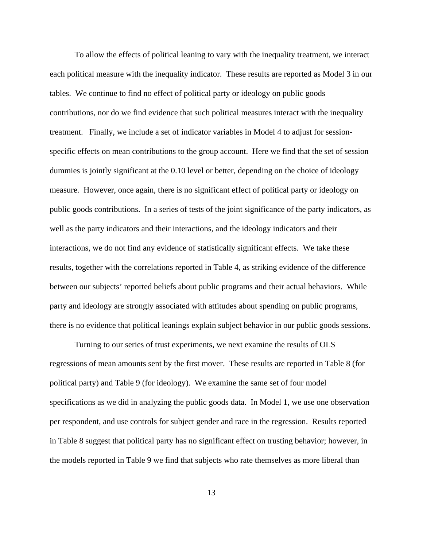To allow the effects of political leaning to vary with the inequality treatment, we interact each political measure with the inequality indicator. These results are reported as Model 3 in our tables. We continue to find no effect of political party or ideology on public goods contributions, nor do we find evidence that such political measures interact with the inequality treatment. Finally, we include a set of indicator variables in Model 4 to adjust for sessionspecific effects on mean contributions to the group account. Here we find that the set of session dummies is jointly significant at the 0.10 level or better, depending on the choice of ideology measure. However, once again, there is no significant effect of political party or ideology on public goods contributions. In a series of tests of the joint significance of the party indicators, as well as the party indicators and their interactions, and the ideology indicators and their interactions, we do not find any evidence of statistically significant effects. We take these results, together with the correlations reported in Table 4, as striking evidence of the difference between our subjects' reported beliefs about public programs and their actual behaviors. While party and ideology are strongly associated with attitudes about spending on public programs, there is no evidence that political leanings explain subject behavior in our public goods sessions.

Turning to our series of trust experiments, we next examine the results of OLS regressions of mean amounts sent by the first mover. These results are reported in Table 8 (for political party) and Table 9 (for ideology). We examine the same set of four model specifications as we did in analyzing the public goods data. In Model 1, we use one observation per respondent, and use controls for subject gender and race in the regression. Results reported in Table 8 suggest that political party has no significant effect on trusting behavior; however, in the models reported in Table 9 we find that subjects who rate themselves as more liberal than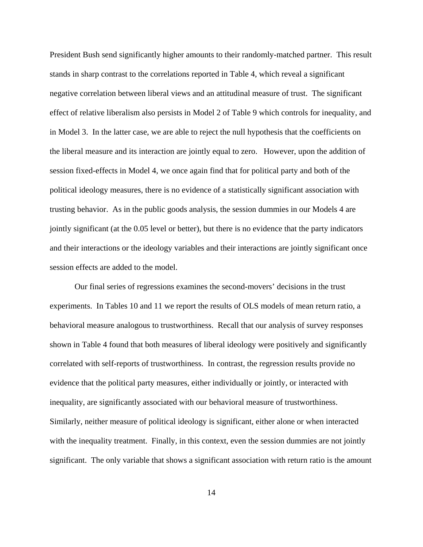President Bush send significantly higher amounts to their randomly-matched partner. This result stands in sharp contrast to the correlations reported in Table 4, which reveal a significant negative correlation between liberal views and an attitudinal measure of trust. The significant effect of relative liberalism also persists in Model 2 of Table 9 which controls for inequality, and in Model 3. In the latter case, we are able to reject the null hypothesis that the coefficients on the liberal measure and its interaction are jointly equal to zero. However, upon the addition of session fixed-effects in Model 4, we once again find that for political party and both of the political ideology measures, there is no evidence of a statistically significant association with trusting behavior. As in the public goods analysis, the session dummies in our Models 4 are jointly significant (at the 0.05 level or better), but there is no evidence that the party indicators and their interactions or the ideology variables and their interactions are jointly significant once session effects are added to the model.

Our final series of regressions examines the second-movers' decisions in the trust experiments. In Tables 10 and 11 we report the results of OLS models of mean return ratio, a behavioral measure analogous to trustworthiness. Recall that our analysis of survey responses shown in Table 4 found that both measures of liberal ideology were positively and significantly correlated with self-reports of trustworthiness. In contrast, the regression results provide no evidence that the political party measures, either individually or jointly, or interacted with inequality, are significantly associated with our behavioral measure of trustworthiness. Similarly, neither measure of political ideology is significant, either alone or when interacted with the inequality treatment. Finally, in this context, even the session dummies are not jointly significant. The only variable that shows a significant association with return ratio is the amount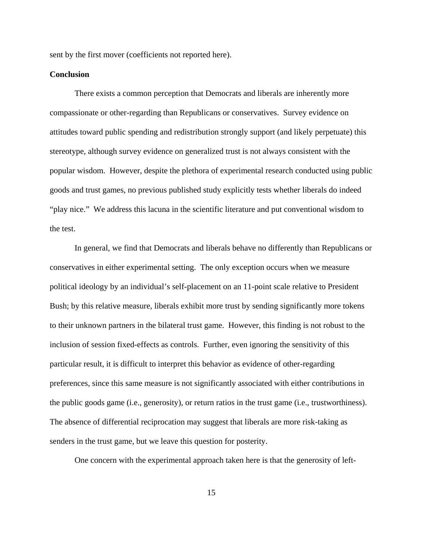sent by the first mover (coefficients not reported here).

#### **Conclusion**

There exists a common perception that Democrats and liberals are inherently more compassionate or other-regarding than Republicans or conservatives. Survey evidence on attitudes toward public spending and redistribution strongly support (and likely perpetuate) this stereotype, although survey evidence on generalized trust is not always consistent with the popular wisdom. However, despite the plethora of experimental research conducted using public goods and trust games, no previous published study explicitly tests whether liberals do indeed "play nice." We address this lacuna in the scientific literature and put conventional wisdom to the test.

In general, we find that Democrats and liberals behave no differently than Republicans or conservatives in either experimental setting. The only exception occurs when we measure political ideology by an individual's self-placement on an 11-point scale relative to President Bush; by this relative measure, liberals exhibit more trust by sending significantly more tokens to their unknown partners in the bilateral trust game. However, this finding is not robust to the inclusion of session fixed-effects as controls. Further, even ignoring the sensitivity of this particular result, it is difficult to interpret this behavior as evidence of other-regarding preferences, since this same measure is not significantly associated with either contributions in the public goods game (i.e., generosity), or return ratios in the trust game (i.e., trustworthiness). The absence of differential reciprocation may suggest that liberals are more risk-taking as senders in the trust game, but we leave this question for posterity.

One concern with the experimental approach taken here is that the generosity of left-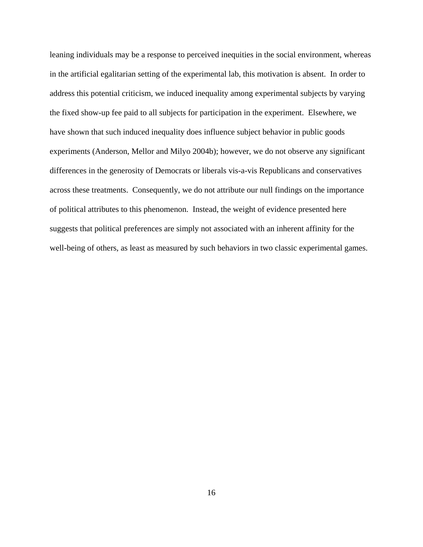leaning individuals may be a response to perceived inequities in the social environment, whereas in the artificial egalitarian setting of the experimental lab, this motivation is absent. In order to address this potential criticism, we induced inequality among experimental subjects by varying the fixed show-up fee paid to all subjects for participation in the experiment. Elsewhere, we have shown that such induced inequality does influence subject behavior in public goods experiments (Anderson, Mellor and Milyo 2004b); however, we do not observe any significant differences in the generosity of Democrats or liberals vis-a-vis Republicans and conservatives across these treatments. Consequently, we do not attribute our null findings on the importance of political attributes to this phenomenon. Instead, the weight of evidence presented here suggests that political preferences are simply not associated with an inherent affinity for the well-being of others, as least as measured by such behaviors in two classic experimental games.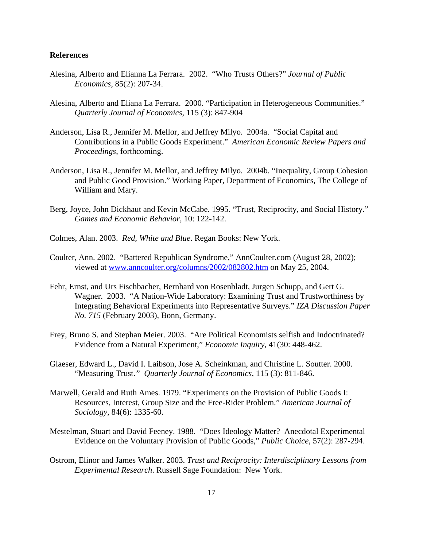#### **References**

- Alesina, Alberto and Elianna La Ferrara. 2002. "Who Trusts Others?" *Journal of Public Economics*, 85(2): 207-34.
- Alesina, Alberto and Eliana La Ferrara. 2000. "Participation in Heterogeneous Communities." *Quarterly Journal of Economics*, 115 (3): 847-904
- Anderson, Lisa R., Jennifer M. Mellor, and Jeffrey Milyo. 2004a. "Social Capital and Contributions in a Public Goods Experiment." *American Economic Review Papers and Proceedings*, forthcoming.
- Anderson, Lisa R., Jennifer M. Mellor, and Jeffrey Milyo. 2004b. "Inequality, Group Cohesion and Public Good Provision." Working Paper, Department of Economics, The College of William and Mary.
- Berg, Joyce, John Dickhaut and Kevin McCabe. 1995. "Trust, Reciprocity, and Social History." *Games and Economic Behavior*, 10: 122-142.
- Colmes, Alan. 2003. *Red, White and Blue*. Regan Books: New York.
- Coulter, Ann. 2002. "Battered Republican Syndrome," AnnCoulter.com (August 28, 2002); viewed at www.anncoulter.org/columns/2002/082802.htm on May 25, 2004.
- Fehr, Ernst, and Urs Fischbacher, Bernhard von Rosenbladt, Jurgen Schupp, and Gert G. Wagner. 2003. "A Nation-Wide Laboratory: Examining Trust and Trustworthiness by Integrating Behavioral Experiments into Representative Surveys." *IZA Discussion Paper No. 715* (February 2003), Bonn, Germany.
- Frey, Bruno S. and Stephan Meier. 2003. "Are Political Economists selfish and Indoctrinated? Evidence from a Natural Experiment," *Economic Inquiry*, 41(30: 448-462.
- Glaeser, Edward L., David I. Laibson, Jose A. Scheinkman, and Christine L. Soutter. 2000. "Measuring Trust.*" Quarterly Journal of Economics,* 115 (3): 811-846.
- Marwell, Gerald and Ruth Ames. 1979. "Experiments on the Provision of Public Goods I: Resources, Interest, Group Size and the Free-Rider Problem." *American Journal of Sociology*, 84(6): 1335-60.
- Mestelman, Stuart and David Feeney. 1988. "Does Ideology Matter? Anecdotal Experimental Evidence on the Voluntary Provision of Public Goods," *Public Choice*, 57(2): 287-294.
- Ostrom, Elinor and James Walker. 2003. *Trust and Reciprocity: Interdisciplinary Lessons from Experimental Research*. Russell Sage Foundation: New York.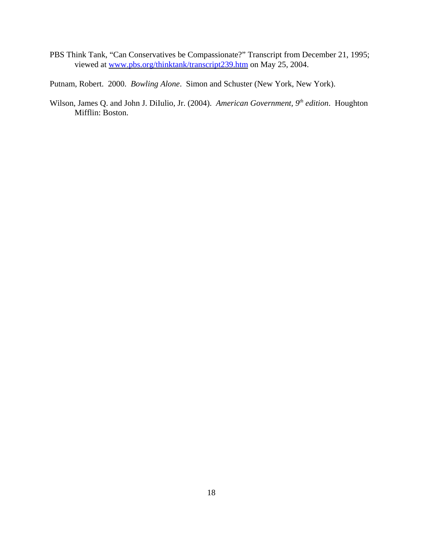PBS Think Tank, "Can Conservatives be Compassionate?" Transcript from December 21, 1995; viewed at www.pbs.org/thinktank/transcript239.htm on May 25, 2004.

Putnam, Robert. 2000. *Bowling Alone*. Simon and Schuster (New York, New York).

Wilson, James Q. and John J. DiIulio, Jr. (2004). *American Government, 9th edition*. Houghton Mifflin: Boston.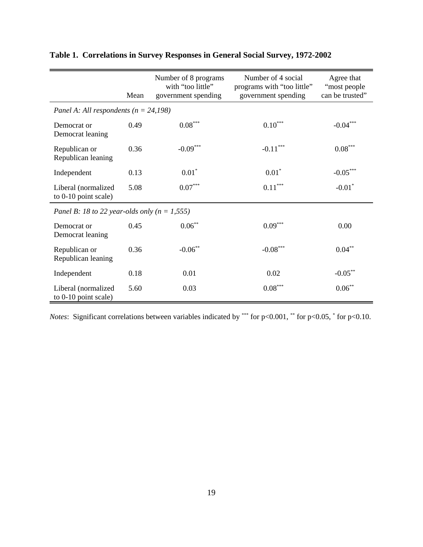|                                                  | Mean | Number of 8 programs<br>with "too little"<br>government spending | Number of 4 social<br>programs with "too little"<br>government spending | Agree that<br>"most people<br>can be trusted" |
|--------------------------------------------------|------|------------------------------------------------------------------|-------------------------------------------------------------------------|-----------------------------------------------|
| Panel A: All respondents ( $n = 24,198$ )        |      |                                                                  |                                                                         |                                               |
| Democrat or<br>Democrat leaning                  | 0.49 | $0.08^{\ast\ast\ast}$                                            | $0.10^{\ast\ast\ast}$                                                   | $-0.04***$                                    |
| Republican or<br>Republican leaning              | 0.36 | $-0.09***$                                                       | $-0.11***$                                                              | $0.08^{\ast\ast\ast}$                         |
| Independent                                      | 0.13 | $0.01*$                                                          | $0.01*$                                                                 | $-0.05***$                                    |
| Liberal (normalized<br>to $0-10$ point scale)    | 5.08 | $0.07^{\ast\ast\ast}$                                            | $0.11^{\ast\ast\ast}$                                                   | $-0.01$ <sup>*</sup>                          |
| Panel B: 18 to 22 year-olds only ( $n = 1,555$ ) |      |                                                                  |                                                                         |                                               |
| Democrat or<br>Democrat leaning                  | 0.45 | $0.06***$                                                        | $0.09***$                                                               | 0.00                                          |
| Republican or<br>Republican leaning              | 0.36 | $-0.06**$                                                        | $-0.08***$                                                              | $0.04***$                                     |
| Independent                                      | 0.18 | 0.01                                                             | 0.02                                                                    | $-0.05***$                                    |
| Liberal (normalized<br>to 0-10 point scale)      | 5.60 | 0.03                                                             | $0.08***$                                                               | $0.06***$                                     |

# **Table 1. Correlations in Survey Responses in General Social Survey, 1972-2002**

*Notes*: Significant correlations between variables indicated by \*\*\* for  $p<0.001$ , \*\* for  $p<0.05$ , \* for  $p<0.10$ .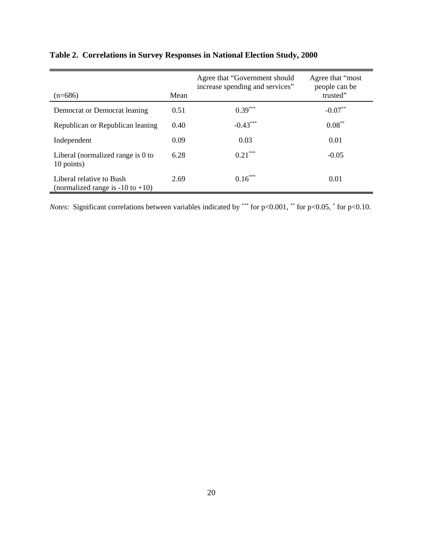| $(n=686)$                                                         | Mean | Agree that "Government should"<br>increase spending and services" | Agree that "most"<br>people can be<br>trusted" |
|-------------------------------------------------------------------|------|-------------------------------------------------------------------|------------------------------------------------|
| Democrat or Democrat leaning                                      | 0.51 | $0.39***$                                                         | $-0.07**$                                      |
| Republican or Republican leaning                                  | 0.40 | $-0.43***$                                                        | $0.08***$                                      |
| Independent                                                       | 0.09 | 0.03                                                              | 0.01                                           |
| Liberal (normalized range is 0 to<br>10 points)                   | 6.28 | $0.21***$                                                         | $-0.05$                                        |
| Liberal relative to Bush<br>(normalized range is $-10$ to $+10$ ) | 2.69 | $0.16***$                                                         | 0.01                                           |

# **Table 2. Correlations in Survey Responses in National Election Study, 2000**

*Notes*: Significant correlations between variables indicated by \*\*\* for  $p<0.001$ , \*\* for  $p<0.05$ , \* for  $p<0.10$ .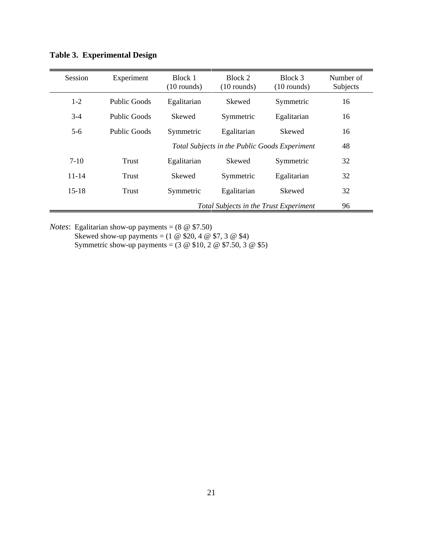| Session   | Experiment          | Block 1<br>$(10$ rounds) | Block 2<br>$(10$ rounds)                      | Block 3<br>$(10$ rounds) | Number of<br>Subjects |
|-----------|---------------------|--------------------------|-----------------------------------------------|--------------------------|-----------------------|
| $1 - 2$   | <b>Public Goods</b> | Egalitarian              | Skewed                                        | Symmetric                | 16                    |
| $3-4$     | Public Goods        | Skewed                   | Symmetric                                     | Egalitarian              | 16                    |
| $5-6$     | Public Goods        | Symmetric                | Egalitarian                                   | <b>Skewed</b>            | 16                    |
|           |                     |                          | Total Subjects in the Public Goods Experiment |                          | 48                    |
| $7-10$    | <b>Trust</b>        | Egalitarian              | Skewed                                        | Symmetric                | 32                    |
| $11 - 14$ | Trust               | <b>Skewed</b>            | Symmetric                                     | Egalitarian              | 32                    |
| $15 - 18$ | Trust               | Symmetric                | Egalitarian                                   | <b>Skewed</b>            | 32                    |
|           |                     |                          | Total Subjects in the Trust Experiment        |                          | 96                    |

**Table 3. Experimental Design**

*Notes*: Egalitarian show-up payments = (8 @ \$7.50) Skewed show-up payments =  $(1 \otimes $20, 4 \otimes $7, 3 \otimes $4)$ Symmetric show-up payments =  $(3 \otimes $10, 2 \otimes $7.50, 3 \otimes $5)$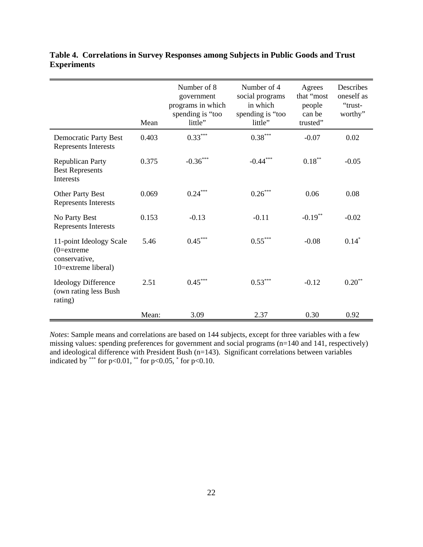|                                                                                  | Mean  | Number of 8<br>government<br>programs in which<br>spending is "too<br>little" | Number of 4<br>social programs<br>in which<br>spending is "too<br>little" | Agrees<br>that "most"<br>people<br>can be<br>trusted" | Describes<br>oneself as<br>"trust-<br>worthy" |
|----------------------------------------------------------------------------------|-------|-------------------------------------------------------------------------------|---------------------------------------------------------------------------|-------------------------------------------------------|-----------------------------------------------|
| <b>Democratic Party Best</b><br>Represents Interests                             | 0.403 | $0.33***$                                                                     | $0.38^{\ast\ast\ast}$                                                     | $-0.07$                                               | 0.02                                          |
| <b>Republican Party</b><br><b>Best Represents</b><br>Interests                   | 0.375 | $\textbf{-0.36}^{\ast\ast\ast}$                                               | $-0.44***$                                                                | $0.18^{\ast\ast}$                                     | $-0.05$                                       |
| <b>Other Party Best</b><br><b>Represents Interests</b>                           | 0.069 | $0.24***$                                                                     | $0.26***$                                                                 | 0.06                                                  | 0.08                                          |
| No Party Best<br>Represents Interests                                            | 0.153 | $-0.13$                                                                       | $-0.11$                                                                   | $-0.19**$                                             | $-0.02$                                       |
| 11-point Ideology Scale<br>$(0=extreme)$<br>conservative,<br>10=extreme liberal) | 5.46  | $0.45***$                                                                     | $0.55^{\ast\ast\ast}$                                                     | $-0.08$                                               | $0.14*$                                       |
| <b>Ideology Difference</b><br>(own rating less Bush)<br>rating)                  | 2.51  | $0.45***$                                                                     | $0.53***$                                                                 | $-0.12$                                               | $0.20**$                                      |
|                                                                                  | Mean: | 3.09                                                                          | 2.37                                                                      | 0.30                                                  | 0.92                                          |

**Table 4. Correlations in Survey Responses among Subjects in Public Goods and Trust Experiments**

*Notes*: Sample means and correlations are based on 144 subjects, except for three variables with a few missing values: spending preferences for government and social programs (n=140 and 141, respectively) and ideological difference with President Bush (n=143). Significant correlations between variables indicated by \*\*\* for  $p<0.01$ , \*\* for  $p<0.05$ , \* for  $p<0.10$ .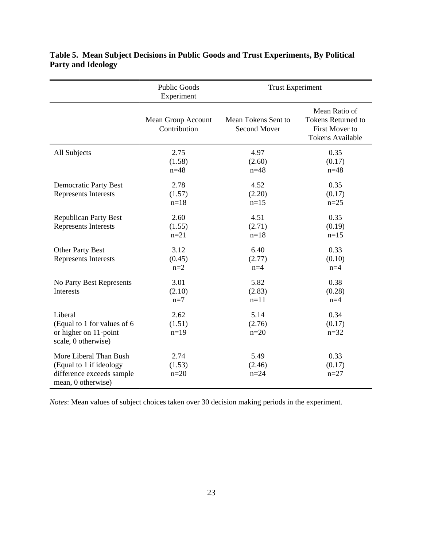|                                                                                                      | <b>Public Goods</b><br>Experiment  | <b>Trust Experiment</b>                    |                                                                                         |
|------------------------------------------------------------------------------------------------------|------------------------------------|--------------------------------------------|-----------------------------------------------------------------------------------------|
|                                                                                                      | Mean Group Account<br>Contribution | Mean Tokens Sent to<br><b>Second Mover</b> | Mean Ratio of<br><b>Tokens Returned to</b><br>First Mover to<br><b>Tokens Available</b> |
| All Subjects                                                                                         | 2.75<br>(1.58)<br>$n = 48$         | 4.97<br>(2.60)<br>$n = 48$                 | 0.35<br>(0.17)<br>$n = 48$                                                              |
| <b>Democratic Party Best</b><br>Represents Interests                                                 | 2.78<br>(1.57)<br>$n=18$           | 4.52<br>(2.20)<br>$n=15$                   | 0.35<br>(0.17)<br>$n=25$                                                                |
| <b>Republican Party Best</b><br><b>Represents Interests</b>                                          | 2.60<br>(1.55)<br>$n = 21$         | 4.51<br>(2.71)<br>$n=18$                   | 0.35<br>(0.19)<br>$n=15$                                                                |
| Other Party Best<br>Represents Interests                                                             | 3.12<br>(0.45)<br>$n=2$            | 6.40<br>(2.77)<br>$n=4$                    | 0.33<br>(0.10)<br>$n=4$                                                                 |
| No Party Best Represents<br>Interests                                                                | 3.01<br>(2.10)<br>$n=7$            | 5.82<br>(2.83)<br>$n=11$                   | 0.38<br>(0.28)<br>$n=4$                                                                 |
| Liberal<br>(Equal to 1 for values of 6<br>or higher on 11-point<br>scale, 0 otherwise)               | 2.62<br>(1.51)<br>$n=19$           | 5.14<br>(2.76)<br>$n=20$                   | 0.34<br>(0.17)<br>$n = 32$                                                              |
| More Liberal Than Bush<br>(Equal to 1 if ideology<br>difference exceeds sample<br>mean, 0 otherwise) | 2.74<br>(1.53)<br>$n=20$           | 5.49<br>(2.46)<br>$n = 24$                 | 0.33<br>(0.17)<br>$n = 27$                                                              |

**Table 5. Mean Subject Decisions in Public Goods and Trust Experiments, By Political Party and Ideology**

*Notes*: Mean values of subject choices taken over 30 decision making periods in the experiment.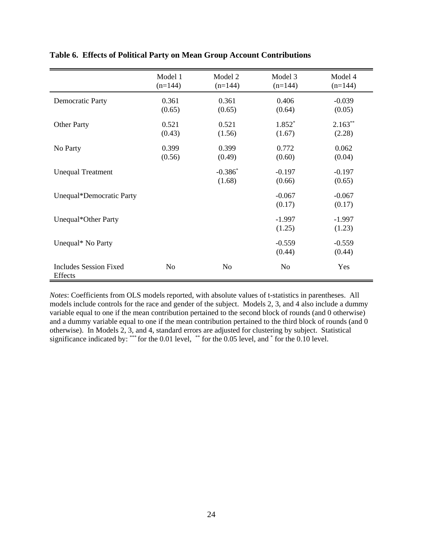|                                          | Model 1<br>$(n=144)$ | Model 2<br>$(n=144)$ | Model 3<br>$(n=144)$ | Model 4<br>$(n=144)$ |
|------------------------------------------|----------------------|----------------------|----------------------|----------------------|
| <b>Democratic Party</b>                  | 0.361<br>(0.65)      | 0.361<br>(0.65)      | 0.406<br>(0.64)      | $-0.039$<br>(0.05)   |
| <b>Other Party</b>                       | 0.521<br>(0.43)      | 0.521<br>(1.56)      | $1.852*$<br>(1.67)   | $2.163**$<br>(2.28)  |
| No Party                                 | 0.399<br>(0.56)      | 0.399<br>(0.49)      | 0.772<br>(0.60)      | 0.062<br>(0.04)      |
| <b>Unequal Treatment</b>                 |                      | $-0.386*$<br>(1.68)  | $-0.197$<br>(0.66)   | $-0.197$<br>(0.65)   |
| Unequal*Democratic Party                 |                      |                      | $-0.067$<br>(0.17)   | $-0.067$<br>(0.17)   |
| Unequal*Other Party                      |                      |                      | $-1.997$<br>(1.25)   | $-1.997$<br>(1.23)   |
| Unequal* No Party                        |                      |                      | $-0.559$<br>(0.44)   | $-0.559$<br>(0.44)   |
| <b>Includes Session Fixed</b><br>Effects | N <sub>o</sub>       | N <sub>o</sub>       | No                   | Yes                  |

**Table 6. Effects of Political Party on Mean Group Account Contributions**

*Notes*: Coefficients from OLS models reported, with absolute values of t-statistics in parentheses. All models include controls for the race and gender of the subject. Models 2, 3, and 4 also include a dummy variable equal to one if the mean contribution pertained to the second block of rounds (and 0 otherwise) and a dummy variable equal to one if the mean contribution pertained to the third block of rounds (and 0 otherwise). In Models 2, 3, and 4, standard errors are adjusted for clustering by subject. Statistical significance indicated by: \*\*\* for the 0.01 level, \*\* for the 0.05 level, and  $*$  for the 0.10 level.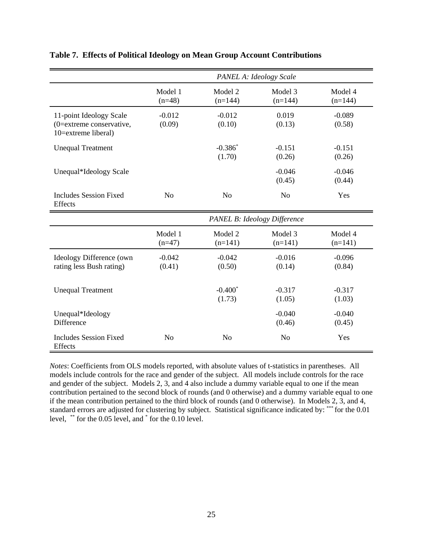|                                                                            | PANEL A: Ideology Scale |                      |                              |                      |  |
|----------------------------------------------------------------------------|-------------------------|----------------------|------------------------------|----------------------|--|
|                                                                            | Model 1<br>$(n=48)$     | Model 2<br>$(n=144)$ | Model 3<br>$(n=144)$         | Model 4<br>$(n=144)$ |  |
| 11-point Ideology Scale<br>(0=extreme conservative,<br>10=extreme liberal) | $-0.012$<br>(0.09)      | $-0.012$<br>(0.10)   | 0.019<br>(0.13)              | $-0.089$<br>(0.58)   |  |
| <b>Unequal Treatment</b>                                                   |                         | $-0.386*$<br>(1.70)  | $-0.151$<br>(0.26)           | $-0.151$<br>(0.26)   |  |
| Unequal*Ideology Scale                                                     |                         |                      | $-0.046$<br>(0.45)           | $-0.046$<br>(0.44)   |  |
| <b>Includes Session Fixed</b><br>Effects                                   | N <sub>o</sub>          | N <sub>o</sub>       | N <sub>o</sub>               | Yes                  |  |
|                                                                            |                         |                      | PANEL B: Ideology Difference |                      |  |
|                                                                            | Model 1<br>$(n=47)$     | Model 2<br>$(n=141)$ | Model 3<br>$(n=141)$         | Model 4<br>$(n=141)$ |  |
| Ideology Difference (own<br>rating less Bush rating)                       | $-0.042$<br>(0.41)      | $-0.042$<br>(0.50)   | $-0.016$<br>(0.14)           | $-0.096$<br>(0.84)   |  |
| <b>Unequal Treatment</b>                                                   |                         | $-0.400*$<br>(1.73)  | $-0.317$<br>(1.05)           | $-0.317$<br>(1.03)   |  |
| Unequal*Ideology<br>Difference                                             |                         |                      | $-0.040$<br>(0.46)           | $-0.040$<br>(0.45)   |  |
| <b>Includes Session Fixed</b><br><b>Effects</b>                            | N <sub>0</sub>          | N <sub>0</sub>       | N <sub>o</sub>               | Yes                  |  |

### **Table 7. Effects of Political Ideology on Mean Group Account Contributions**

*Notes*: Coefficients from OLS models reported, with absolute values of t-statistics in parentheses. All models include controls for the race and gender of the subject. All models include controls for the race and gender of the subject. Models 2, 3, and 4 also include a dummy variable equal to one if the mean contribution pertained to the second block of rounds (and 0 otherwise) and a dummy variable equal to one if the mean contribution pertained to the third block of rounds (and 0 otherwise). In Models 2, 3, and 4, standard errors are adjusted for clustering by subject. Statistical significance indicated by: \*\*\* for the 0.01 level, \*\* for the 0.05 level, and \* for the 0.10 level.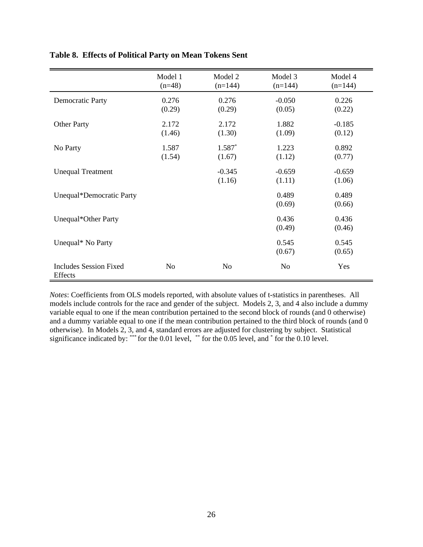|                                          | Model 1<br>$(n=48)$ | Model 2<br>$(n=144)$ | Model 3<br>$(n=144)$ | Model 4<br>$(n=144)$ |
|------------------------------------------|---------------------|----------------------|----------------------|----------------------|
| <b>Democratic Party</b>                  | 0.276<br>(0.29)     | 0.276<br>(0.29)      | $-0.050$<br>(0.05)   | 0.226<br>(0.22)      |
| <b>Other Party</b>                       | 2.172<br>(1.46)     | 2.172<br>(1.30)      | 1.882<br>(1.09)      | $-0.185$<br>(0.12)   |
| No Party                                 | 1.587<br>(1.54)     | $1.587*$<br>(1.67)   | 1.223<br>(1.12)      | 0.892<br>(0.77)      |
| <b>Unequal Treatment</b>                 |                     | $-0.345$<br>(1.16)   | $-0.659$<br>(1.11)   | $-0.659$<br>(1.06)   |
| Unequal*Democratic Party                 |                     |                      | 0.489<br>(0.69)      | 0.489<br>(0.66)      |
| Unequal*Other Party                      |                     |                      | 0.436<br>(0.49)      | 0.436<br>(0.46)      |
| Unequal* No Party                        |                     |                      | 0.545<br>(0.67)      | 0.545<br>(0.65)      |
| <b>Includes Session Fixed</b><br>Effects | N <sub>o</sub>      | N <sub>o</sub>       | N <sub>0</sub>       | Yes                  |

**Table 8. Effects of Political Party on Mean Tokens Sent**

*Notes*: Coefficients from OLS models reported, with absolute values of t-statistics in parentheses. All models include controls for the race and gender of the subject. Models 2, 3, and 4 also include a dummy variable equal to one if the mean contribution pertained to the second block of rounds (and 0 otherwise) and a dummy variable equal to one if the mean contribution pertained to the third block of rounds (and 0 otherwise). In Models 2, 3, and 4, standard errors are adjusted for clustering by subject. Statistical significance indicated by: \*\*\* for the 0.01 level, \*\* for the 0.05 level, and  $*$  for the 0.10 level.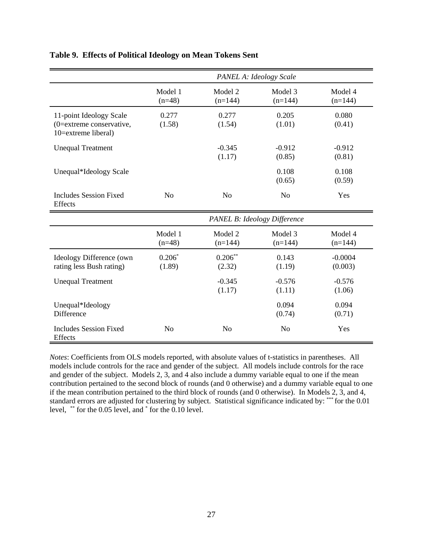|                                                                            | PANEL A: Ideology Scale      |                      |                      |                      |  |
|----------------------------------------------------------------------------|------------------------------|----------------------|----------------------|----------------------|--|
|                                                                            | Model 1<br>$(n=48)$          | Model 2<br>$(n=144)$ | Model 3<br>$(n=144)$ | Model 4<br>$(n=144)$ |  |
| 11-point Ideology Scale<br>(0=extreme conservative,<br>10=extreme liberal) | 0.277<br>(1.58)              | 0.277<br>(1.54)      | 0.205<br>(1.01)      | 0.080<br>(0.41)      |  |
| <b>Unequal Treatment</b>                                                   |                              | $-0.345$<br>(1.17)   | $-0.912$<br>(0.85)   | $-0.912$<br>(0.81)   |  |
| Unequal*Ideology Scale                                                     |                              |                      | 0.108<br>(0.65)      | 0.108<br>(0.59)      |  |
| <b>Includes Session Fixed</b><br>Effects                                   | N <sub>o</sub>               | N <sub>o</sub>       | N <sub>o</sub>       | Yes                  |  |
|                                                                            | PANEL B: Ideology Difference |                      |                      |                      |  |
|                                                                            | Model 1<br>$(n=48)$          | Model 2<br>$(n=144)$ | Model 3<br>$(n=144)$ | Model 4<br>$(n=144)$ |  |
| Ideology Difference (own<br>rating less Bush rating)                       | $0.206*$<br>(1.89)           | $0.206***$<br>(2.32) | 0.143<br>(1.19)      | $-0.0004$<br>(0.003) |  |
| <b>Unequal Treatment</b>                                                   |                              | $-0.345$<br>(1.17)   | $-0.576$<br>(1.11)   | $-0.576$<br>(1.06)   |  |
| Unequal*Ideology<br>Difference                                             |                              |                      | 0.094<br>(0.74)      | 0.094<br>(0.71)      |  |
| <b>Includes Session Fixed</b><br>Effects                                   | N <sub>o</sub>               | N <sub>o</sub>       | N <sub>o</sub>       | Yes                  |  |

## **Table 9. Effects of Political Ideology on Mean Tokens Sent**

*Notes*: Coefficients from OLS models reported, with absolute values of t-statistics in parentheses. All models include controls for the race and gender of the subject. All models include controls for the race and gender of the subject. Models 2, 3, and 4 also include a dummy variable equal to one if the mean contribution pertained to the second block of rounds (and 0 otherwise) and a dummy variable equal to one if the mean contribution pertained to the third block of rounds (and 0 otherwise). In Models 2, 3, and 4, standard errors are adjusted for clustering by subject. Statistical significance indicated by: \*\*\* for the 0.01 level, \*\* for the 0.05 level, and \* for the 0.10 level.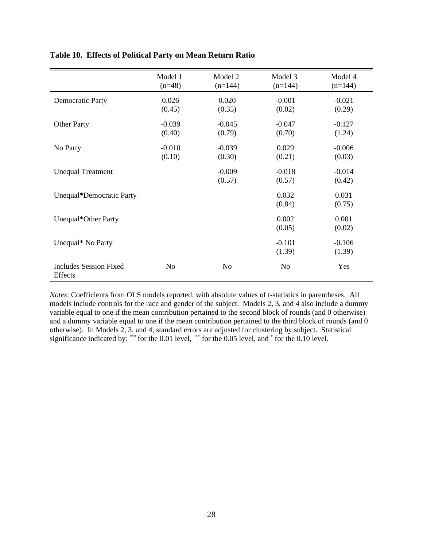|                                          | Model 1<br>$(n=48)$ | Model 2<br>$(n=144)$ | Model 3<br>$(n=144)$ | Model 4<br>$(n=144)$ |
|------------------------------------------|---------------------|----------------------|----------------------|----------------------|
| <b>Democratic Party</b>                  | 0.026<br>(0.45)     | 0.020<br>(0.35)      | $-0.001$<br>(0.02)   | $-0.021$<br>(0.29)   |
| <b>Other Party</b>                       | $-0.039$<br>(0.40)  | $-0.045$<br>(0.79)   | $-0.047$<br>(0.70)   | $-0.127$<br>(1.24)   |
| No Party                                 | $-0.010$<br>(0.10)  | $-0.039$<br>(0.30)   | 0.029<br>(0.21)      | $-0.006$<br>(0.03)   |
| <b>Unequal Treatment</b>                 |                     | $-0.009$<br>(0.57)   | $-0.018$<br>(0.57)   | $-0.014$<br>(0.42)   |
| Unequal*Democratic Party                 |                     |                      | 0.032<br>(0.84)      | 0.031<br>(0.75)      |
| Unequal*Other Party                      |                     |                      | 0.002<br>(0.05)      | 0.001<br>(0.02)      |
| Unequal* No Party                        |                     |                      | $-0.101$<br>(1.39)   | $-0.106$<br>(1.39)   |
| <b>Includes Session Fixed</b><br>Effects | N <sub>o</sub>      | N <sub>o</sub>       | N <sub>0</sub>       | Yes                  |

**Table 10. Effects of Political Party on Mean Return Ratio**

*Notes*: Coefficients from OLS models reported, with absolute values of t-statistics in parentheses. All models include controls for the race and gender of the subject. Models 2, 3, and 4 also include a dummy variable equal to one if the mean contribution pertained to the second block of rounds (and 0 otherwise) and a dummy variable equal to one if the mean contribution pertained to the third block of rounds (and 0 otherwise). In Models 2, 3, and 4, standard errors are adjusted for clustering by subject. Statistical significance indicated by: \*\*\* for the 0.01 level, \*\* for the 0.05 level, and  $*$  for the 0.10 level.